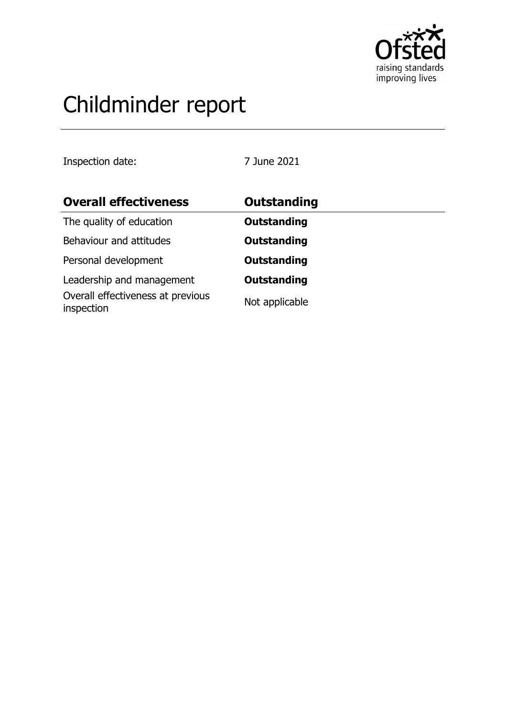

# Childminder report

Inspection date: 7 June 2021

| <b>Overall effectiveness</b>                    | <b>Outstanding</b> |
|-------------------------------------------------|--------------------|
| The quality of education                        | <b>Outstanding</b> |
| Behaviour and attitudes                         | <b>Outstanding</b> |
| Personal development                            | <b>Outstanding</b> |
| Leadership and management                       | <b>Outstanding</b> |
| Overall effectiveness at previous<br>inspection | Not applicable     |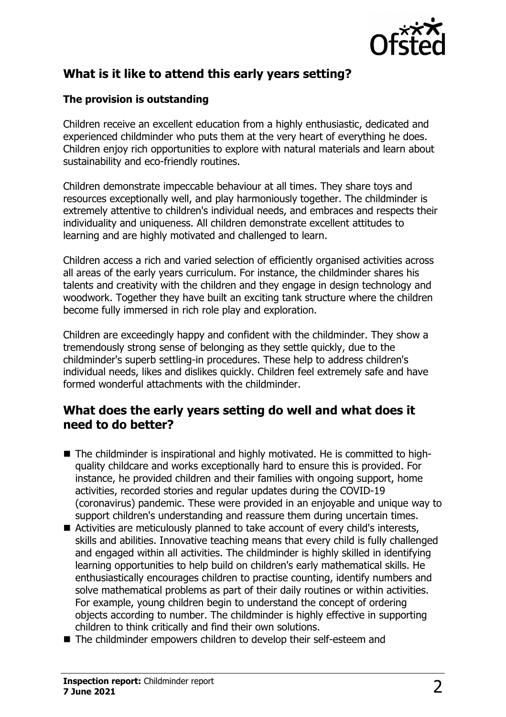

# **What is it like to attend this early years setting?**

### **The provision is outstanding**

Children receive an excellent education from a highly enthusiastic, dedicated and experienced childminder who puts them at the very heart of everything he does. Children enjoy rich opportunities to explore with natural materials and learn about sustainability and eco-friendly routines.

Children demonstrate impeccable behaviour at all times. They share toys and resources exceptionally well, and play harmoniously together. The childminder is extremely attentive to children's individual needs, and embraces and respects their individuality and uniqueness. All children demonstrate excellent attitudes to learning and are highly motivated and challenged to learn.

Children access a rich and varied selection of efficiently organised activities across all areas of the early years curriculum. For instance, the childminder shares his talents and creativity with the children and they engage in design technology and woodwork. Together they have built an exciting tank structure where the children become fully immersed in rich role play and exploration.

Children are exceedingly happy and confident with the childminder. They show a tremendously strong sense of belonging as they settle quickly, due to the childminder's superb settling-in procedures. These help to address children's individual needs, likes and dislikes quickly. Children feel extremely safe and have formed wonderful attachments with the childminder.

## **What does the early years setting do well and what does it need to do better?**

- $\blacksquare$  The childminder is inspirational and highly motivated. He is committed to highquality childcare and works exceptionally hard to ensure this is provided. For instance, he provided children and their families with ongoing support, home activities, recorded stories and regular updates during the COVID-19 (coronavirus) pandemic. These were provided in an enjoyable and unique way to support children's understanding and reassure them during uncertain times.
- Activities are meticulously planned to take account of every child's interests, skills and abilities. Innovative teaching means that every child is fully challenged and engaged within all activities. The childminder is highly skilled in identifying learning opportunities to help build on children's early mathematical skills. He enthusiastically encourages children to practise counting, identify numbers and solve mathematical problems as part of their daily routines or within activities. For example, young children begin to understand the concept of ordering objects according to number. The childminder is highly effective in supporting children to think critically and find their own solutions.
- $\blacksquare$  The childminder empowers children to develop their self-esteem and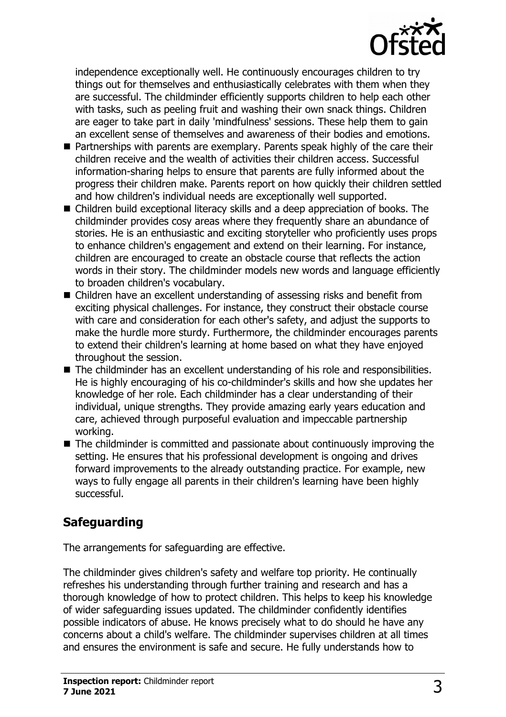

independence exceptionally well. He continuously encourages children to try things out for themselves and enthusiastically celebrates with them when they are successful. The childminder efficiently supports children to help each other with tasks, such as peeling fruit and washing their own snack things. Children are eager to take part in daily 'mindfulness' sessions. These help them to gain an excellent sense of themselves and awareness of their bodies and emotions.

- $\blacksquare$  Partnerships with parents are exemplary. Parents speak highly of the care their children receive and the wealth of activities their children access. Successful information-sharing helps to ensure that parents are fully informed about the progress their children make. Parents report on how quickly their children settled and how children's individual needs are exceptionally well supported.
- $\blacksquare$  Children build exceptional literacy skills and a deep appreciation of books. The childminder provides cosy areas where they frequently share an abundance of stories. He is an enthusiastic and exciting storyteller who proficiently uses props to enhance children's engagement and extend on their learning. For instance, children are encouraged to create an obstacle course that reflects the action words in their story. The childminder models new words and language efficiently to broaden children's vocabulary.
- Children have an excellent understanding of assessing risks and benefit from exciting physical challenges. For instance, they construct their obstacle course with care and consideration for each other's safety, and adjust the supports to make the hurdle more sturdy. Furthermore, the childminder encourages parents to extend their children's learning at home based on what they have enjoyed throughout the session.
- $\blacksquare$  The childminder has an excellent understanding of his role and responsibilities. He is highly encouraging of his co-childminder's skills and how she updates her knowledge of her role. Each childminder has a clear understanding of their individual, unique strengths. They provide amazing early years education and care, achieved through purposeful evaluation and impeccable partnership working.
- $\blacksquare$  The childminder is committed and passionate about continuously improving the setting. He ensures that his professional development is ongoing and drives forward improvements to the already outstanding practice. For example, new ways to fully engage all parents in their children's learning have been highly successful.

# **Safeguarding**

The arrangements for safeguarding are effective.

The childminder gives children's safety and welfare top priority. He continually refreshes his understanding through further training and research and has a thorough knowledge of how to protect children. This helps to keep his knowledge of wider safeguarding issues updated. The childminder confidently identifies possible indicators of abuse. He knows precisely what to do should he have any concerns about a child's welfare. The childminder supervises children at all times and ensures the environment is safe and secure. He fully understands how to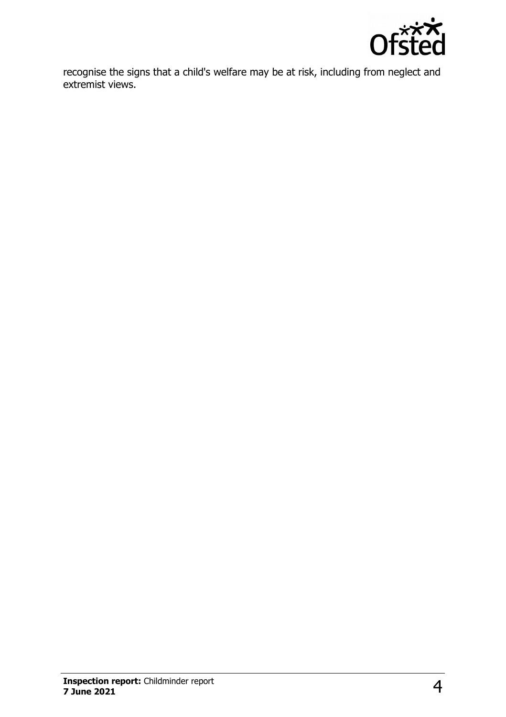

recognise the signs that a child's welfare may be at risk, including from neglect and extremist views.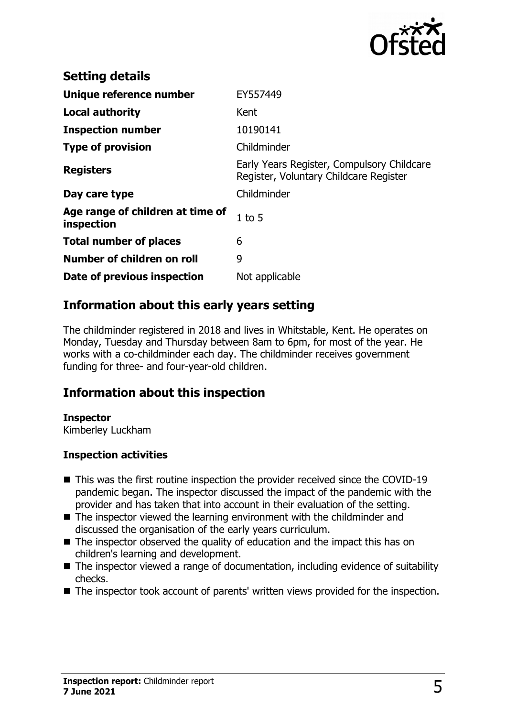

| <b>Setting details</b>                         |                                                                                      |
|------------------------------------------------|--------------------------------------------------------------------------------------|
| Unique reference number                        | EY557449                                                                             |
| <b>Local authority</b>                         | Kent                                                                                 |
| <b>Inspection number</b>                       | 10190141                                                                             |
| <b>Type of provision</b>                       | Childminder                                                                          |
| <b>Registers</b>                               | Early Years Register, Compulsory Childcare<br>Register, Voluntary Childcare Register |
| Day care type                                  | Childminder                                                                          |
| Age range of children at time of<br>inspection | $1$ to $5$                                                                           |
| <b>Total number of places</b>                  | 6                                                                                    |
| Number of children on roll                     | 9                                                                                    |
| Date of previous inspection                    | Not applicable                                                                       |

# **Information about this early years setting**

The childminder registered in 2018 and lives in Whitstable, Kent. He operates on Monday, Tuesday and Thursday between 8am to 6pm, for most of the year. He works with a co-childminder each day. The childminder receives government funding for three- and four-year-old children.

## **Information about this inspection**

#### **Inspector**

Kimberley Luckham

#### **Inspection activities**

- $\blacksquare$  This was the first routine inspection the provider received since the COVID-19 pandemic began. The inspector discussed the impact of the pandemic with the provider and has taken that into account in their evaluation of the setting.
- $\blacksquare$  The inspector viewed the learning environment with the childminder and discussed the organisation of the early years curriculum.
- $\blacksquare$  The inspector observed the quality of education and the impact this has on children's learning and development.
- $\blacksquare$  The inspector viewed a range of documentation, including evidence of suitability checks.
- $\blacksquare$  The inspector took account of parents' written views provided for the inspection.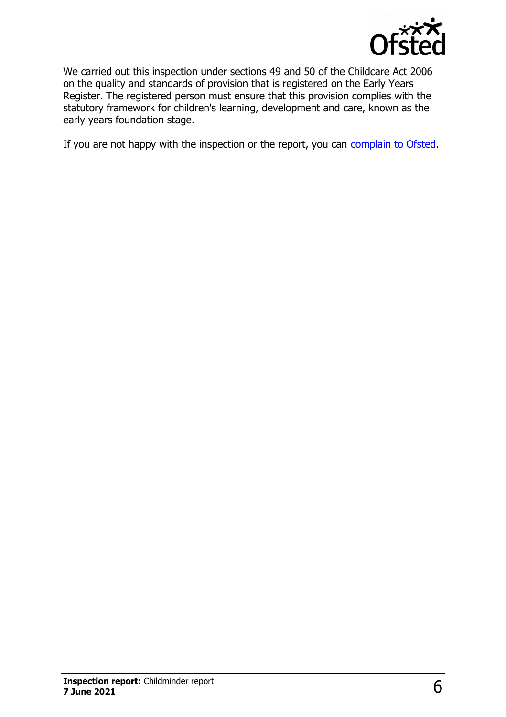

We carried out this inspection under sections 49 and 50 of the Childcare Act 2006 on the quality and standards of provision that is registered on the Early Years Register. The registered person must ensure that this provision complies with the statutory framework for children's learning, development and care, known as the early years foundation stage.

If you are not happy with the inspection or the report, you can [complain to Ofsted.](http://www.gov.uk/complain-ofsted-report)